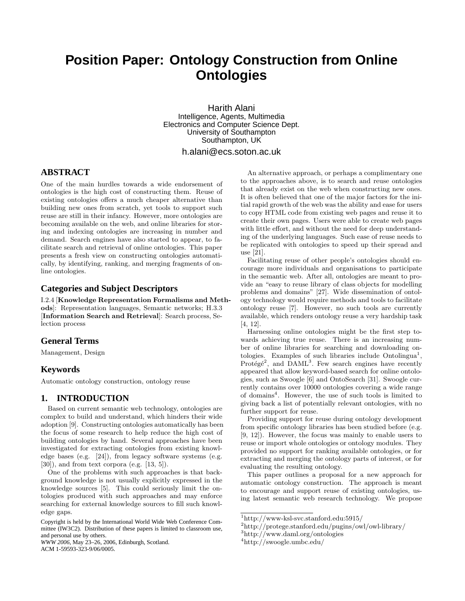# **Position Paper: Ontology Construction from Online Ontologies**

Harith Alani Intelligence, Agents, Multimedia Electronics and Computer Science Dept. University of Southampton Southampton, UK

h.alani@ecs.soton.ac.uk

# **ABSTRACT**

One of the main hurdles towards a wide endorsement of ontologies is the high cost of constructing them. Reuse of existing ontologies offers a much cheaper alternative than building new ones from scratch, yet tools to support such reuse are still in their infancy. However, more ontologies are becoming available on the web, and online libraries for storing and indexing ontologies are increasing in number and demand. Search engines have also started to appear, to facilitate search and retrieval of online ontologies. This paper presents a fresh view on constructing ontologies automatically, by identifying, ranking, and merging fragments of online ontologies.

## **Categories and Subject Descriptors**

I.2.4 [**Knowledge Representation Formalisms and Methods**]: Representation languages, Semantic networks; H.3.3 [**Information Search and Retrieval**]: Search process, Selection process

## **General Terms**

Management, Design

### **Keywords**

Automatic ontology construction, ontology reuse

# **1. INTRODUCTION**

Based on current semantic web technology, ontologies are complex to build and understand, which hinders their wide adoption [9]. Constructing ontologies automatically has been the focus of some research to help reduce the high cost of building ontologies by hand. Several approaches have been investigated for extracting ontologies from existing knowledge bases (e.g. [24]), from legacy software systems (e.g. [30]), and from text corpora (e.g. [13, 5]).

One of the problems with such approaches is that background knowledge is not usually explicitly expressed in the knowledge sources [5]. This could seriously limit the ontologies produced with such approaches and may enforce searching for external knowledge sources to fill such knowledge gaps.

*WWW 2006*, May 23–26, 2006, Edinburgh, Scotland. ACM 1-59593-323-9/06/0005.

An alternative approach, or perhaps a complimentary one to the approaches above, is to search and reuse ontologies that already exist on the web when constructing new ones. It is often believed that one of the major factors for the initial rapid growth of the web was the ability and ease for users to copy HTML code from existing web pages and reuse it to create their own pages. Users were able to create web pages with little effort, and without the need for deep understanding of the underlying languages. Such ease of reuse needs to be replicated with ontologies to speed up their spread and use [21].

Facilitating reuse of other people's ontologies should encourage more individuals and organisations to participate in the semantic web. After all, ontologies are meant to provide an "easy to reuse library of class objects for modelling problems and domains" [27]. Wide dissemination of ontology technology would require methods and tools to facilitate ontology reuse [7]. However, no such tools are currently available, which renders ontology reuse a very hardship task [4, 12].

Harnessing online ontologies might be the first step towards achieving true reuse. There is an increasing number of online libraries for searching and downloading ontologies. Examples of such libraries include Ontolingua<sup>1</sup>, Protégé<sup>2</sup>, and DAML<sup>3</sup>. Few search engines have recently appeared that allow keyword-based search for online ontologies, such as Swoogle [6] and OntoSearch [31]. Swoogle currently contains over 10000 ontologies covering a wide range of domains<sup>4</sup>. However, the use of such tools is limited to giving back a list of potentially relevant ontologies, with no further support for reuse.

Providing support for reuse during ontology development from specific ontology libraries has been studied before (e.g. [9, 12]). However, the focus was mainly to enable users to reuse or import whole ontologies or ontology modules. They provided no support for ranking available ontologies, or for extracting and merging the ontology parts of interest, or for evaluating the resulting ontology.

This paper outlines a proposal for a new approach for automatic ontology construction. The approach is meant to encourage and support reuse of existing ontologies, using latest semantic web research technology. We propose

Copyright is held by the International World Wide Web Conference Committee (IW3C2). Distribution of these papers is limited to classroom use, and personal use by others.

<sup>1</sup>http://www-ksl-svc.stanford.edu:5915/

<sup>2</sup>http://protege.stanford.edu/pugins/owl/owl-library/

<sup>3</sup>http://www.daml.org/ontologies

<sup>4</sup>http://swoogle.umbc.edu/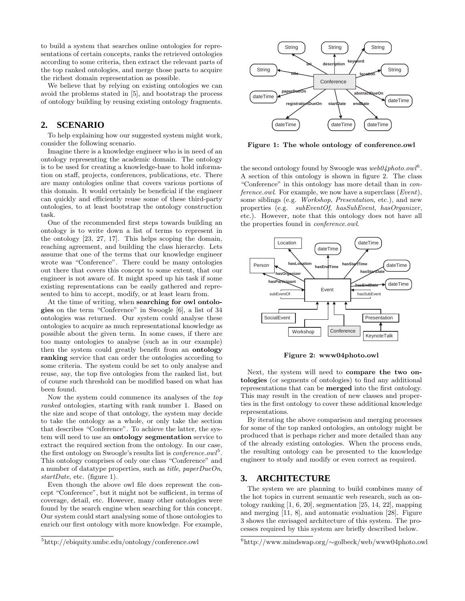to build a system that searches online ontologies for representations of certain concepts, ranks the retrieved ontologies according to some criteria, then extract the relevant parts of the top ranked ontologies, and merge those parts to acquire the richest domain representation as possible.

We believe that by relying on existing ontologies we can avoid the problems stated in [5], and bootstrap the process of ontology building by reusing existing ontology fragments.

# **2. SCENARIO**

To help explaining how our suggested system might work, consider the following scenario.

Imagine there is a knowledge engineer who is in need of an ontology representing the academic domain. The ontology is to be used for creating a knowledge-base to hold information on staff, projects, conferences, publications, etc. There are many ontologies online that covers various portions of this domain. It would certainly be beneficial if the engineer can quickly and efficiently reuse some of these third-party ontologies, to at least bootstrap the ontology construction task.

One of the recommended first steps towards building an ontology is to write down a list of terms to represent in the ontology [23, 27, 17]. This helps scoping the domain, reaching agreement, and building the class hierarchy. Lets assume that one of the terms that our knowledge engineer wrote was "Conference". There could be many ontologies out there that covers this concept to some extent, that our engineer is not aware of. It might speed up his task if some existing representations can be easily gathered and represented to him to accept, modify, or at least learn from.

At the time of writing, when **searching for owl ontologies** on the term "Conference" in Swoogle [6], a list of 34 ontologies was returned. Our system could analyse these ontologies to acquire as much representational knowledge as possible about the given term. In some cases, if there are too many ontologies to analyse (such as in our example) then the system could greatly benefit from an **ontology ranking** service that can order the ontologies according to some criteria. The system could be set to only analyse and reuse, say, the top five ontologies from the ranked list, but of course such threshold can be modified based on what has been found.

Now the system could commence its analyses of the top ranked ontologies, starting with rank number 1. Based on the size and scope of that ontology, the system may decide to take the ontology as a whole, or only take the section that describes "Conference". To achieve the latter, the system will need to use an **ontology segmentation** service to extract the required section from the ontology. In our case, the first ontology on Swoogle's results list is *conference.owl*<sup>5</sup>. This ontology comprises of only one class "Conference" and a number of datatype properties, such as *title*,  $paperDueOn$ , startDate, etc. (figure 1).

Even though the above owl file does represent the concept "Conference", but it might not be sufficient, in terms of coverage, detail, etc. However, many other ontologies were found by the search engine when searching for this concept. Our system could start analysing some of those ontologies to enrich our first ontology with more knowledge. For example,



**Figure 1: The whole ontology of conference.owl**

the second ontology found by Swoogle was  $web04 photo.owl<sup>6</sup>$ . A section of this ontology is shown in figure 2. The class "Conference" in this ontology has more detail than in conference.owl. For example, we now have a superclass  $(Event)$ , some siblings (e.g. Workshop, Presentation, etc.), and new properties (e.g. subEventOf, hasSubEvent, hasOrganizer, etc.). However, note that this ontology does not have all the properties found in conference.owl.



**Figure 2: www04photo.owl**

Next, the system will need to **compare the two ontologies** (or segments of ontologies) to find any additional representations that can be **merged** into the first ontology. This may result in the creation of new classes and properties in the first ontology to cover these additional knowledge representations.

By iterating the above comparison and merging processes for some of the top ranked ontologies, an ontology might be produced that is perhaps richer and more detailed than any of the already existing ontologies. When the process ends, the resulting ontology can be presented to the knowledge engineer to study and modify or even correct as required.

#### **3. ARCHITECTURE**

The system we are planning to build combines many of the hot topics in current semantic web research, such as ontology ranking  $[1, 6, 20]$ , segmentation  $[25, 14, 22]$ , mapping and merging [11, 8], and automatic evaluation [28]. Figure 3 shows the envisaged architecture of this system. The processes required by this system are briefly described below.

<sup>5</sup>http://ebiquity.umbc.edu/ontology/conference.owl

<sup>6</sup>http://www.mindswap.org/∼golbeck/web/www04photo.owl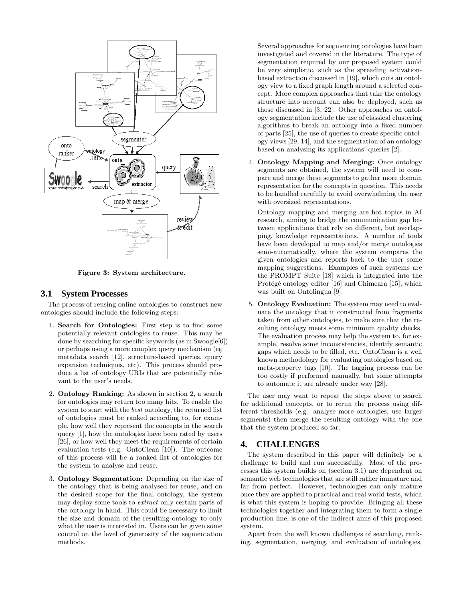

**Figure 3: System architecture.**

#### **3.1 System Processes**

The process of reusing online ontologies to construct new ontologies should include the following steps:

- 1. **Search for Ontologies:** First step is to find some potentially relevant ontologies to reuse. This may be done by searching for specific keywords (as in Swoogle[6]) or perhaps using a more complex query mechanism (eg metadata search [12], structure-based queries, query expansion techniques, etc). This process should produce a list of ontology URIs that are potentially relevant to the user's needs.
- 2. **Ontology Ranking:** As shown in section 2, a search for ontologies may return too many hits. To enable the system to start with the best ontology, the returned list of ontologies must be ranked according to, for example, how well they represent the concepts in the search query [1], how the ontologies have been rated by users [26], or how well they meet the requirements of certain evaluation tests (e.g. OntoClean [10]). The outcome of this process will be a ranked list of ontologies for the system to analyse and reuse.
- 3. **Ontology Segmentation:** Depending on the size of the ontology that is being analysed for reuse, and on the desired scope for the final ontology, the system may deploy some tools to extract only certain parts of the ontology in hand. This could be necessary to limit the size and domain of the resulting ontology to only what the user is interested in. Users can be given some control on the level of generosity of the segmentation methods.

Several approaches for segmenting ontologies have been investigated and covered in the literature. The type of segmentation required by our proposed system could be very simplistic, such as the spreading activationbased extraction discussed in [19], which cuts an ontology view to a fixed graph length around a selected concept. More complex approaches that take the ontology structure into account can also be deployed, such as those discussed in [3, 22]. Other approaches on ontology segmentation include the use of classical clustering algorithms to break an ontology into a fixed number of parts [25], the use of queries to create specific ontology views [29, 14], and the segmentation of an ontology based on analysing its applications' queries [2].

4. **Ontology Mapping and Merging:** Once ontology segments are obtained, the system will need to compare and merge these segments to gather more domain representation for the concepts in question. This needs to be handled carefully to avoid overwhelming the user with oversized representations.

Ontology mapping and merging are hot topics in AI research, aiming to bridge the communication gap between applications that rely on different, but overlapping, knowledge representations. A number of tools have been developed to map and/or merge ontologies semi-automatically, where the system compares the given ontologies and reports back to the user some mapping suggestions. Examples of such systems are the PROMPT Suite [18] which is integrated into the Protégé ontology editor [16] and Chimeara [15], which was built on Ontolingua [9].

5. **Ontology Evaluation:** The system may need to evaluate the ontology that it constructed from fragments taken from other ontologies, to make sure that the resulting ontology meets some minimum quality checks. The evaluation process may help the system to, for example, resolve some inconsistencies, identify semantic gaps which needs to be filled, etc. OntoClean is a well known methodology for evaluating ontologies based on meta-property tags [10]. The tagging process can be too costly if performed manually, but some attempts to automate it are already under way [28].

The user may want to repeat the steps above to search for additional concepts, or to rerun the process using different thresholds (e.g. analyse more ontologies, use larger segments) then merge the resulting ontology with the one that the system produced so far.

# **4. CHALLENGES**

The system described in this paper will definitely be a challenge to build and run successfully. Most of the processes this system builds on (section 3.1) are dependent on semantic web technologies that are still rather immature and far from perfect. However, technologies can only mature once they are applied to practical and real world tests, which is what this system is hoping to provide. Bringing all these technologies together and integrating them to form a single production line, is one of the indirect aims of this proposed system.

Apart from the well known challenges of searching, ranking, segmentation, merging, and evaluation of ontologies,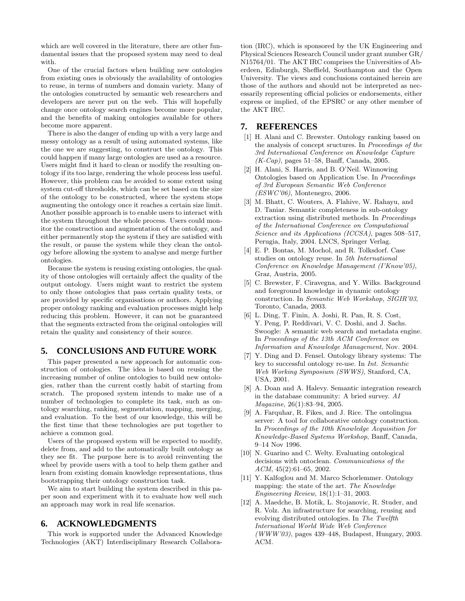which are well covered in the literature, there are other fundamental issues that the proposed system may need to deal with.

One of the crucial factors when building new ontologies from existing ones is obviously the availability of ontologies to reuse, in terms of numbers and domain variety. Many of the ontologies constructed by semantic web researchers and developers are never put on the web. This will hopefully change once ontology search engines become more popular, and the benefits of making ontologies available for others become more apparent.

There is also the danger of ending up with a very large and messy ontology as a result of using automated systems, like the one we are suggesting, to construct the ontology. This could happen if many large ontologies are used as a resource. Users might find it hard to clean or modify the resulting ontology if its too large, rendering the whole process less useful. However, this problem can be avoided to some extent using system cut-off thresholds, which can be set based on the size of the ontology to be constructed, where the system stops augmenting the ontology once it reaches a certain size limit. Another possible approach is to enable users to interact with the system throughout the whole process. Users could monitor the construction and augmentation of the ontology, and either permanently stop the system if they are satisfied with the result, or pause the system while they clean the ontology before allowing the system to analyse and merge further ontologies.

Because the system is reusing existing ontologies, the quality of those ontologies will certainly affect the quality of the output ontology. Users might want to restrict the system to only those ontologies that pass certain quality tests, or are provided by specific organisations or authors. Applying proper ontology ranking and evaluation processes might help reducing this problem. However, it can not be guaranteed that the segments extracted from the original ontologies will retain the quality and consistency of their source.

# **5. CONCLUSIONS AND FUTURE WORK**

This paper presented a new approach for automatic construction of ontologies. The idea is based on reusing the increasing number of online ontologies to build new ontologies, rather than the current costly habit of starting from scratch. The proposed system intends to make use of a number of technologies to complete its task, such as ontology searching, ranking, segmentation, mapping, merging, and evaluation. To the best of our knowledge, this will be the first time that these technologies are put together to achieve a common goal.

Users of the proposed system will be expected to modify, delete from, and add to the automatically built ontology as they see fit. The purpose here is to avoid reinventing the wheel by provide users with a tool to help them gather and learn from existing domain knowledge representations, thus bootstrapping their ontology construction task.

We aim to start building the system described in this paper soon and experiment with it to evaluate how well such an approach may work in real life scenarios.

## **6. ACKNOWLEDGMENTS**

This work is supported under the Advanced Knowledge Technologies (AKT) Interdisciplinary Research Collaboration (IRC), which is sponsored by the UK Engineering and Physical Sciences Research Council under grant number GR/ N15764/01. The AKT IRC comprises the Universities of Aberdeen, Edinburgh, Sheffield, Southampton and the Open University. The views and conclusions contained herein are those of the authors and should not be interpreted as necessarily representing official policies or endorsements, either express or implied, of the EPSRC or any other member of the AKT IRC.

## **7. REFERENCES**

- [1] H. Alani and C. Brewster. Ontology ranking based on the analysis of concept sructures. In Proceedings of the 3rd International Conference on Knowledge Capture  $(K-Cap)$ , pages 51–58, Banff, Canada, 2005.
- [2] H. Alani, S. Harris, and B. O'Neil. Winnowing Ontologies based on Application Use. In Proceedings of 3rd European Semantic Web Conference  $(ESWC'06)$ , Montenegro, 2006.
- [3] M. Bhatt, C. Wouters, A. Flahive, W. Rahayu, and D. Taniar. Semantic completeness in sub-ontology extraction using distributed methods. In Proceedings of the International Conference on Computational Science and its Applications (ICCSA), pages 508-517, Perugia, Italy, 2004. LNCS, Springer Verlag.
- [4] E. P. Bontas, M. Mochol, and R. Tolksdorf. Case studies on ontology reuse. In 5th International Conference on Knowledge Management (I'Know'05), Graz, Austria, 2005.
- [5] C. Brewster, F. Ciravegna, and Y. Wilks. Background and foreground knowledge in dynamic ontology construction. In Semantic Web Workshop, SIGIR'03, Toronto, Canada, 2003.
- [6] L. Ding, T. Finin, A. Joshi, R. Pan, R. S. Cost, Y. Peng, P. Reddivari, V. C. Doshi, and J. Sachs. Swoogle: A semantic web search and metadata engine. In Proceedings of the 13th ACM Conference on Information and Knowledge Management, Nov. 2004.
- [7] Y. Ding and D. Fensel. Ontology library systems: The key to successful ontology re-use. In Int. Semantic Web Working Symposium (SWWS), Stanford, CA, USA, 2001.
- [8] A. Doan and A. Halevy. Semantic integration research in the database community: A bried survey. AI Magazine, 26(1):83–94, 2005.
- [9] A. Farquhar, R. Fikes, and J. Rice. The ontolingua server: A tool for collaborative ontology construction. In Proceedings of the 10th Knowledge Acquisition for Knowledge-Based Systems Workshop, Banff, Canada, 9–14 Nov 1996.
- [10] N. Guarino and C. Welty. Evaluating ontological decisions with ontoclean. Communications of the ACM, 45(2):61–65, 2002.
- [11] Y. Kalfoglou and M. Marco Schorlemmer. Ontology mapping: the state of the art. The Knowledge Engineering Review, 18(1):1–31, 2003.
- [12] A. Maedche, B. Motik, L. Stojanovic, R. Studer, and R. Volz. An infrastructure for searching, reusing and evolving distributed ontologies. In The Twelfth International World Wide Web Conference (WWW'03), pages 439–448, Budapest, Hungary, 2003. ACM.